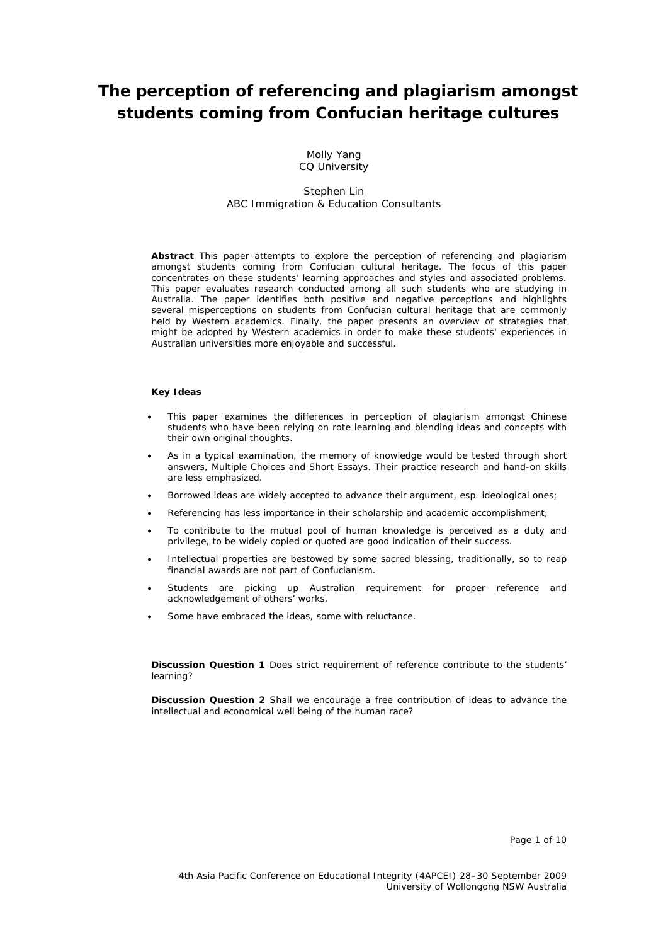# **The perception of referencing and plagiarism amongst students coming from Confucian heritage cultures**

Molly Yang CQ University

#### Stephen Lin ABC Immigration & Education Consultants

**Abstract** This paper attempts to explore the perception of referencing and plagiarism amongst students coming from Confucian cultural heritage. The focus of this paper concentrates on these students' learning approaches and styles and associated problems. This paper evaluates research conducted among all such students who are studying in Australia. The paper identifies both positive and negative perceptions and highlights several misperceptions on students from Confucian cultural heritage that are commonly held by Western academics. Finally, the paper presents an overview of strategies that might be adopted by Western academics in order to make these students' experiences in Australian universities more enjoyable and successful.

#### **Key Ideas**

- This paper examines the differences in perception of plagiarism amongst Chinese students who have been relying on rote learning and blending ideas and concepts with their own original thoughts.
- As in a typical examination, the memory of knowledge would be tested through short answers, Multiple Choices and Short Essays. Their practice research and hand-on skills are less emphasized.
- Borrowed ideas are widely accepted to advance their argument, esp. ideological ones;
- Referencing has less importance in their scholarship and academic accomplishment;
- To contribute to the mutual pool of human knowledge is perceived as a duty and privilege, to be widely copied or quoted are good indication of their success.
- Intellectual properties are bestowed by some sacred blessing, traditionally, so to reap financial awards are not part of Confucianism.
- Students are picking up Australian requirement for proper reference and acknowledgement of others' works.
- Some have embraced the ideas, some with reluctance.

**Discussion Question 1** Does strict requirement of reference contribute to the students' learning?

**Discussion Question 2** Shall we encourage a free contribution of ideas to advance the intellectual and economical well being of the human race?

Page 1 of 10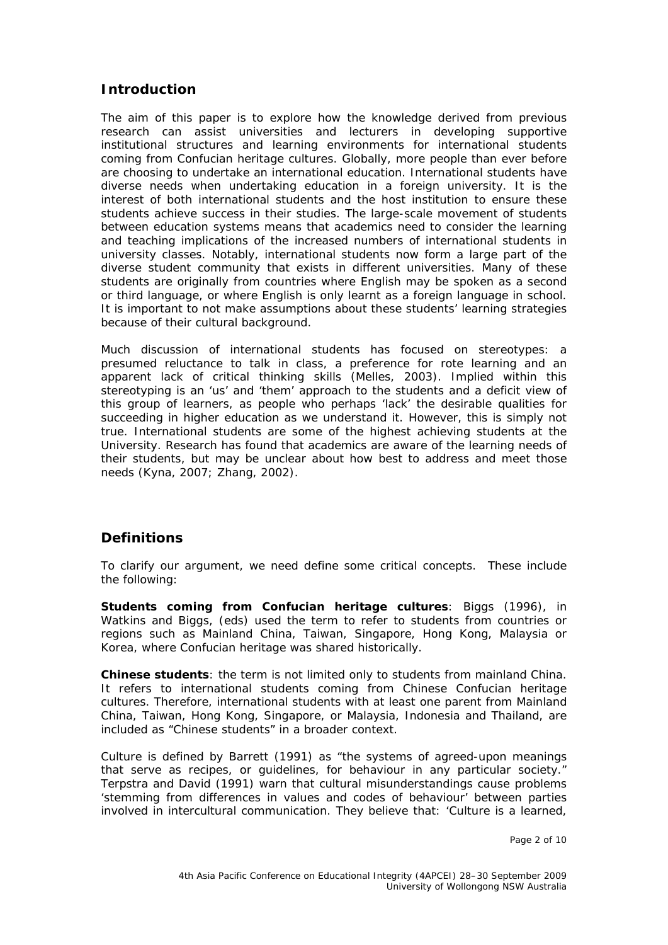### **Introduction**

The aim of this paper is to explore how the knowledge derived from previous research can assist universities and lecturers in developing supportive institutional structures and learning environments for international students coming from Confucian heritage cultures. Globally, more people than ever before are choosing to undertake an international education. International students have diverse needs when undertaking education in a foreign university. It is the interest of both international students and the host institution to ensure these students achieve success in their studies. The large-scale movement of students between education systems means that academics need to consider the learning and teaching implications of the increased numbers of international students in university classes. Notably, international students now form a large part of the diverse student community that exists in different universities. Many of these students are originally from countries where English may be spoken as a second or third language, or where English is only learnt as a foreign language in school. It is important to not make assumptions about these students' learning strategies because of their cultural background.

Much discussion of international students has focused on stereotypes: a presumed reluctance to talk in class, a preference for rote learning and an apparent lack of critical thinking skills (Melles, 2003). Implied within this stereotyping is an 'us' and 'them' approach to the students and a deficit view of this group of learners, as people who perhaps 'lack' the desirable qualities for succeeding in higher education as we understand it. However, this is simply not true. International students are some of the highest achieving students at the University. Research has found that academics are aware of the learning needs of their students, but may be unclear about how best to address and meet those needs (Kyna, 2007; Zhang, 2002).

### **Definitions**

To clarify our argument, we need define some critical concepts. These include the following:

**Students coming from Confucian heritage cultures**: Biggs (1996), in Watkins and Biggs, (eds) used the term to refer to students from countries or regions such as Mainland China, Taiwan, Singapore, Hong Kong, Malaysia or Korea, where Confucian heritage was shared historically.

**Chinese students**: the term is not limited only to students from mainland China. It refers to international students coming from Chinese Confucian heritage cultures. Therefore, international students with at least one parent from Mainland China, Taiwan, Hong Kong, Singapore, or Malaysia, Indonesia and Thailand, are included as "Chinese students" in a broader context.

Culture is defined by Barrett (1991) as "the systems of agreed-upon meanings that serve as recipes, or guidelines, for behaviour in any particular society." Terpstra and David (1991) warn that cultural misunderstandings cause problems 'stemming from differences in values and codes of behaviour' between parties involved in intercultural communication. They believe that: 'Culture is a learned,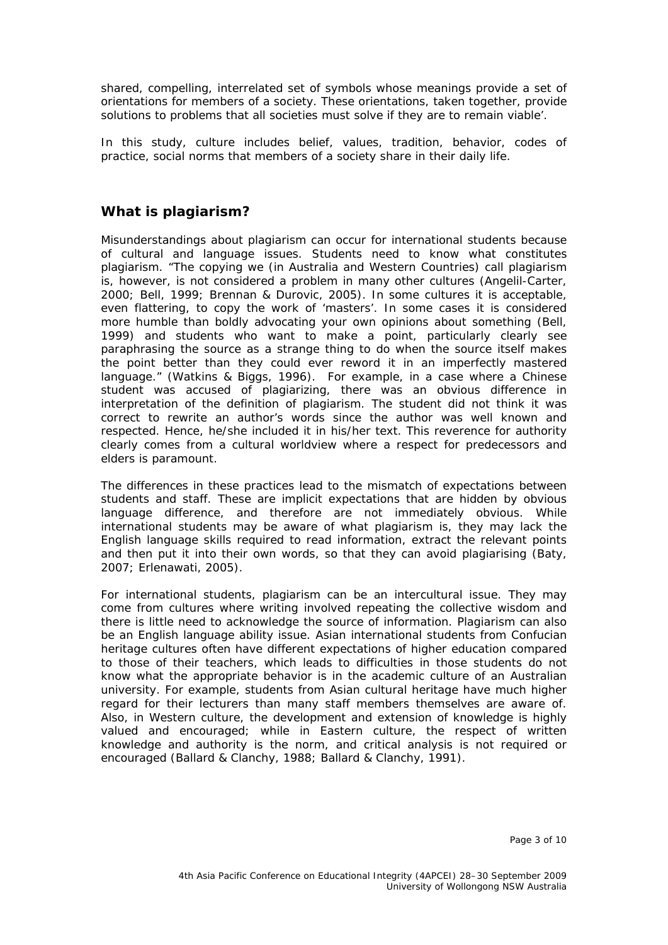shared, compelling, interrelated set of symbols whose meanings provide a set of orientations for members of a society. These orientations, taken together, provide solutions to problems that all societies must solve if they are to remain viable'.

In this study, culture includes belief, values, tradition, behavior, codes of practice, social norms that members of a society share in their daily life.

## **What is plagiarism?**

Misunderstandings about plagiarism can occur for international students because of cultural and language issues. Students need to know what constitutes plagiarism. "The copying we (in Australia and Western Countries) call plagiarism is, however, is not considered a problem in many other cultures (Angelil-Carter, 2000; Bell, 1999; Brennan & Durovic, 2005). In some cultures it is acceptable, even flattering, to copy the work of 'masters'. In some cases it is considered more humble than boldly advocating your own opinions about something (Bell, 1999) and students who want to make a point, particularly clearly see paraphrasing the source as a strange thing to do when the source itself makes the point better than they could ever reword it in an imperfectly mastered language." (Watkins & Biggs, 1996). For example, in a case where a Chinese student was accused of plagiarizing, there was an obvious difference in interpretation of the definition of plagiarism. The student did not think it was correct to rewrite an author's words since the author was well known and respected. Hence, he/she included it in his/her text. This reverence for authority clearly comes from a cultural worldview where a respect for predecessors and elders is paramount.

The differences in these practices lead to the mismatch of expectations between students and staff. These are implicit expectations that are hidden by obvious language difference, and therefore are not immediately obvious. While international students may be aware of what plagiarism is, they may lack the English language skills required to read information, extract the relevant points and then put it into their own words, so that they can avoid plagiarising (Baty, 2007; Erlenawati, 2005).

For international students, plagiarism can be an intercultural issue. They may come from cultures where writing involved repeating the collective wisdom and there is little need to acknowledge the source of information. Plagiarism can also be an English language ability issue. Asian international students from Confucian heritage cultures often have different expectations of higher education compared to those of their teachers, which leads to difficulties in those students do not know what the appropriate behavior is in the academic culture of an Australian university. For example, students from Asian cultural heritage have much higher regard for their lecturers than many staff members themselves are aware of. Also, in Western culture, the development and extension of knowledge is highly valued and encouraged; while in Eastern culture, the respect of written knowledge and authority is the norm, and critical analysis is not required or encouraged (Ballard & Clanchy, 1988; Ballard & Clanchy, 1991).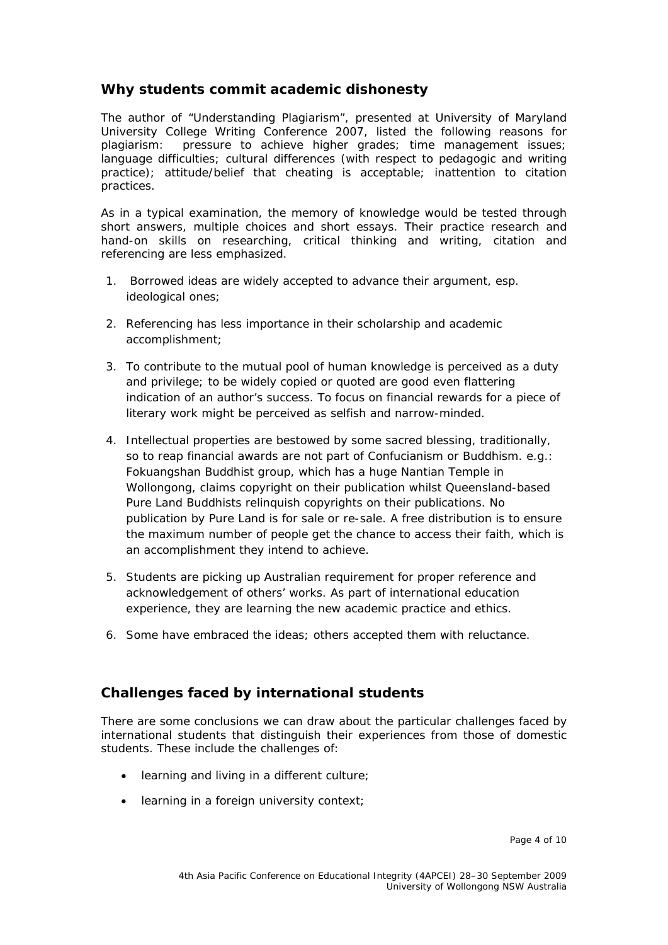### **Why students commit academic dishonesty**

The author of "Understanding Plagiarism", presented at University of Maryland University College Writing Conference 2007, listed the following reasons for plagiarism: pressure to achieve higher grades; time management issues; language difficulties; cultural differences (with respect to pedagogic and writing practice); attitude/belief that cheating is acceptable; inattention to citation practices.

As in a typical examination, the memory of knowledge would be tested through short answers, multiple choices and short essays. Their practice research and hand-on skills on researching, critical thinking and writing, citation and referencing are less emphasized.

- 1. Borrowed ideas are widely accepted to advance their argument, esp. ideological ones;
- 2. Referencing has less importance in their scholarship and academic accomplishment;
- 3. To contribute to the mutual pool of human knowledge is perceived as a duty and privilege; to be widely copied or quoted are good even flattering indication of an author's success. To focus on financial rewards for a piece of literary work might be perceived as selfish and narrow-minded.
- 4. Intellectual properties are bestowed by some sacred blessing, traditionally, so to reap financial awards are not part of Confucianism or Buddhism. e.g.: Fokuangshan Buddhist group, which has a huge Nantian Temple in Wollongong, claims copyright on their publication whilst Queensland-based Pure Land Buddhists relinquish copyrights on their publications. No publication by Pure Land is for sale or re-sale. A free distribution is to ensure the maximum number of people get the chance to access their faith, which is an accomplishment they intend to achieve.
- 5. Students are picking up Australian requirement for proper reference and acknowledgement of others' works. As part of international education experience, they are learning the new academic practice and ethics.
- 6. Some have embraced the ideas; others accepted them with reluctance.

## **Challenges faced by international students**

There are some conclusions we can draw about the particular challenges faced by international students that distinguish their experiences from those of domestic students. These include the challenges of:

- learning and living in a different culture;
- learning in a foreign university context;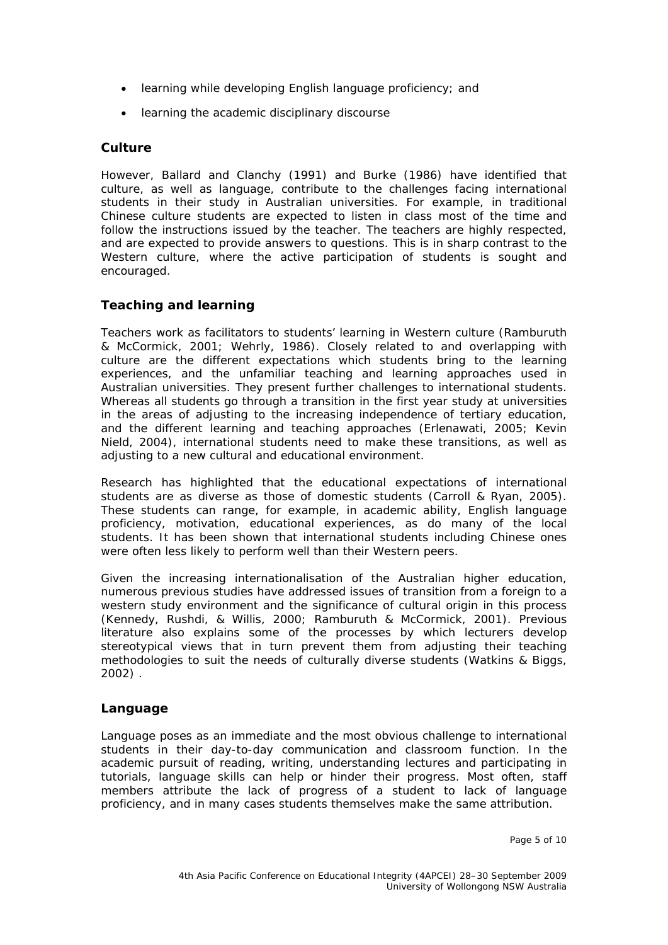- learning while developing English language proficiency; and
- learning the academic disciplinary discourse

#### **Culture**

However, Ballard and Clanchy (1991) and Burke (1986) have identified that culture, as well as language, contribute to the challenges facing international students in their study in Australian universities. For example, in traditional Chinese culture students are expected to listen in class most of the time and follow the instructions issued by the teacher. The teachers are highly respected, and are expected to provide answers to questions. This is in sharp contrast to the Western culture, where the active participation of students is sought and encouraged.

### **Teaching and learning**

Teachers work as facilitators to students' learning in Western culture (Ramburuth & McCormick, 2001; Wehrly, 1986). Closely related to and overlapping with culture are the different expectations which students bring to the learning experiences, and the unfamiliar teaching and learning approaches used in Australian universities. They present further challenges to international students. Whereas all students go through a transition in the first year study at universities in the areas of adjusting to the increasing independence of tertiary education, and the different learning and teaching approaches (Erlenawati, 2005; Kevin Nield, 2004), international students need to make these transitions, as well as adjusting to a new cultural and educational environment.

Research has highlighted that the educational expectations of international students are as diverse as those of domestic students (Carroll & Ryan, 2005). These students can range, for example, in academic ability, English language proficiency, motivation, educational experiences, as do many of the local students. It has been shown that international students including Chinese ones were often less likely to perform well than their Western peers.

Given the increasing internationalisation of the Australian higher education, numerous previous studies have addressed issues of transition from a foreign to a western study environment and the significance of cultural origin in this process (Kennedy, Rushdi, & Willis, 2000; Ramburuth & McCormick, 2001). Previous literature also explains some of the processes by which lecturers develop stereotypical views that in turn prevent them from adjusting their teaching methodologies to suit the needs of culturally diverse students (Watkins & Biggs, 2002) .

#### **Language**

Language poses as an immediate and the most obvious challenge to international students in their day-to-day communication and classroom function. In the academic pursuit of reading, writing, understanding lectures and participating in tutorials, language skills can help or hinder their progress. Most often, staff members attribute the lack of progress of a student to lack of language proficiency, and in many cases students themselves make the same attribution.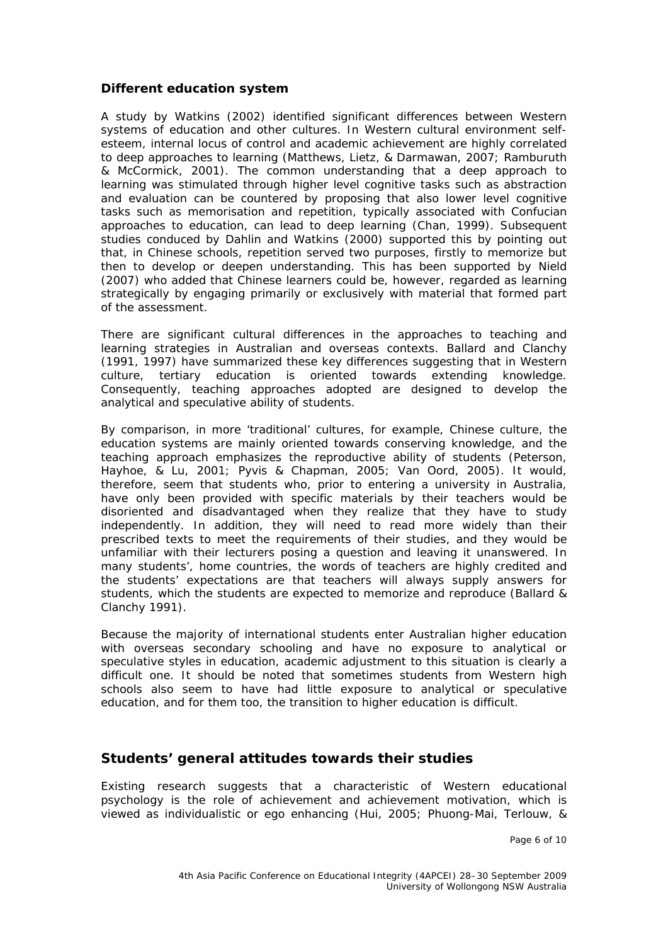#### **Different education system**

A study by Watkins (2002) identified significant differences between Western systems of education and other cultures. In Western cultural environment selfesteem, internal locus of control and academic achievement are highly correlated to deep approaches to learning (Matthews, Lietz, & Darmawan, 2007; Ramburuth & McCormick, 2001). The common understanding that a deep approach to learning was stimulated through higher level cognitive tasks such as abstraction and evaluation can be countered by proposing that also lower level cognitive tasks such as memorisation and repetition, typically associated with Confucian approaches to education, can lead to deep learning (Chan, 1999). Subsequent studies conduced by Dahlin and Watkins (2000) supported this by pointing out that, in Chinese schools, repetition served two purposes, firstly to memorize but then to develop or deepen understanding. This has been supported by Nield (2007) who added that Chinese learners could be, however, regarded as learning strategically by engaging primarily or exclusively with material that formed part of the assessment.

There are significant *cultural differences* in the approaches to teaching and learning strategies in Australian and overseas contexts. Ballard and Clanchy (1991, 1997) have summarized these key differences suggesting that in Western culture, tertiary education is oriented towards *extending* knowledge. Consequently, teaching approaches adopted are designed to develop the analytical and speculative ability of students.

By comparison, in more 'traditional' cultures, for example, Chinese culture, the education systems are mainly oriented towards conserving knowledge, and the teaching approach emphasizes the reproductive ability of students (Peterson, Hayhoe, & Lu, 2001; Pyvis & Chapman, 2005; Van Oord, 2005). It would, therefore, seem that students who, prior to entering a university in Australia, have only been provided with specific materials by their teachers would be disoriented and disadvantaged when they realize that they have to study independently. In addition, they will need to read more widely than their prescribed texts to meet the requirements of their studies, and they would be unfamiliar with their lecturers posing a question and leaving it unanswered. In many students', home countries, the words of teachers are highly credited and the students' expectations are that teachers will always supply answers for students, which the students are expected to memorize and reproduce (Ballard & Clanchy 1991).

Because the majority of international students enter Australian higher education with overseas secondary schooling and have no exposure to analytical or speculative styles in education, academic adjustment to this situation is clearly a difficult one. It should be noted that sometimes students from Western high schools also seem to have had little exposure to analytical or speculative education, and for them too, the transition to higher education is difficult.

### **Students' general attitudes towards their studies**

Existing research suggests that a characteristic of Western educational psychology is the role of achievement and achievement motivation, which is viewed as individualistic or ego enhancing (Hui, 2005; Phuong-Mai, Terlouw, &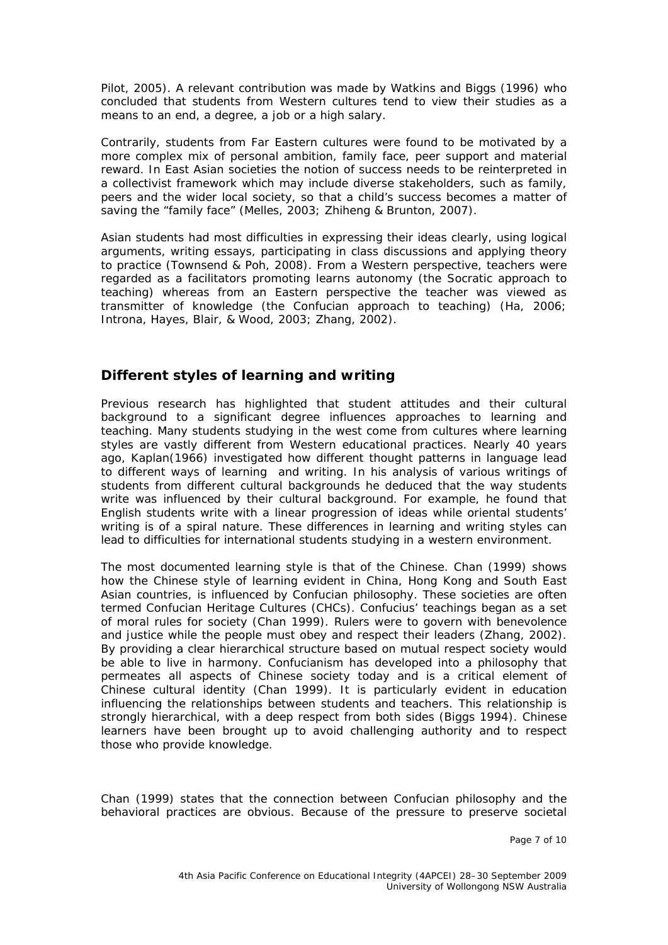Pilot, 2005). A relevant contribution was made by Watkins and Biggs (1996) who concluded that students from Western cultures tend to view their studies as a means to an end, a degree, a job or a high salary.

Contrarily, students from Far Eastern cultures were found to be motivated by a more complex mix of personal ambition, family face, peer support and material reward. In East Asian societies the notion of success needs to be reinterpreted in a collectivist framework which may include diverse stakeholders, such as family, peers and the wider local society, so that a child's success becomes a matter of saving the "family face" (Melles, 2003; Zhiheng & Brunton, 2007).

Asian students had most difficulties in expressing their ideas clearly, using logical arguments, writing essays, participating in class discussions and applying theory to practice (Townsend & Poh, 2008). From a Western perspective, teachers were regarded as a facilitators promoting learns autonomy (the Socratic approach to teaching) whereas from an Eastern perspective the teacher was viewed as transmitter of knowledge (the Confucian approach to teaching) (Ha, 2006; Introna, Hayes, Blair, & Wood, 2003; Zhang, 2002).

### **Different styles of learning and writing**

Previous research has highlighted that student attitudes and their cultural background to a significant degree influences approaches to learning and teaching. Many students studying in the west come from cultures where learning styles are vastly different from Western educational practices. Nearly 40 years ago, Kaplan(1966) investigated how different thought patterns in language lead to different ways of learning and writing. In his analysis of various writings of students from different cultural backgrounds he deduced that the way students write was influenced by their cultural background. For example, he found that English students write with a linear progression of ideas while oriental students' writing is of a spiral nature. These differences in learning and writing styles can lead to difficulties for international students studying in a western environment.

The most documented learning style is that of the Chinese. Chan (1999) shows how the Chinese style of learning evident in China, Hong Kong and South East Asian countries, is influenced by Confucian philosophy. These societies are often termed Confucian Heritage Cultures (CHCs). Confucius' teachings began as a set of moral rules for society (Chan 1999). Rulers were to govern with benevolence and justice while the people must obey and respect their leaders (Zhang, 2002). By providing a clear hierarchical structure based on mutual respect society would be able to live in harmony. Confucianism has developed into a philosophy that permeates all aspects of Chinese society today and is a critical element of Chinese cultural identity (Chan 1999). It is particularly evident in education influencing the relationships between students and teachers. This relationship is strongly hierarchical, with a deep respect from both sides (Biggs 1994). Chinese learners have been brought up to avoid challenging authority and to respect those who provide knowledge.

Chan (1999) states that the connection between Confucian philosophy and the behavioral practices are obvious. Because of the pressure to preserve societal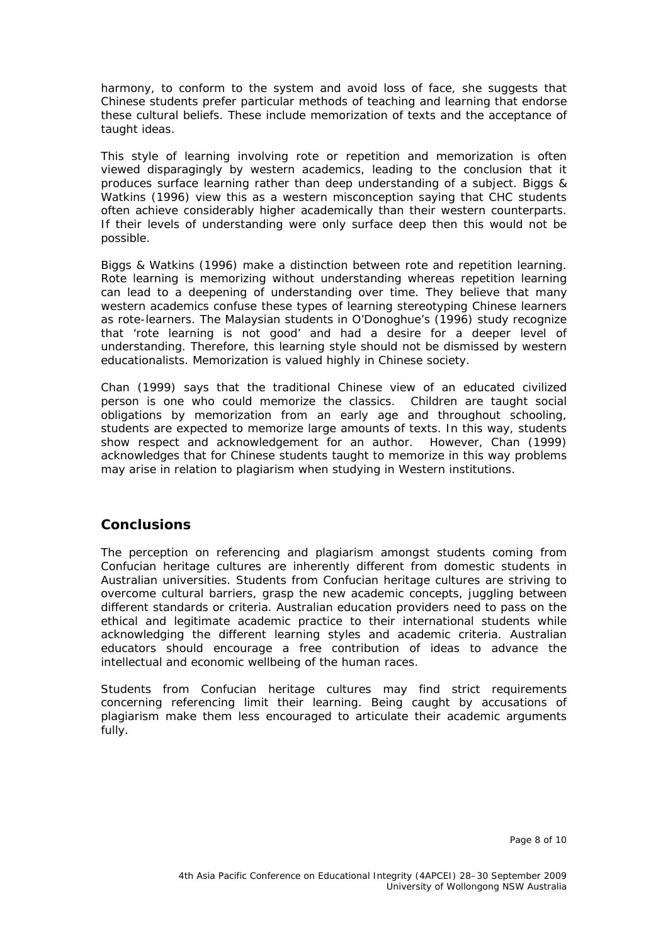harmony, to conform to the system and avoid loss of face, she suggests that Chinese students prefer particular methods of teaching and learning that endorse these cultural beliefs. These include memorization of texts and the acceptance of taught ideas.

This style of learning involving rote or repetition and memorization is often viewed disparagingly by western academics, leading to the conclusion that it produces surface learning rather than deep understanding of a subject. Biggs & Watkins (1996) view this as a western misconception saying that CHC students often achieve considerably higher academically than their western counterparts. If their levels of understanding were only surface deep then this would not be possible.

Biggs & Watkins (1996) make a distinction between rote and repetition learning. Rote learning is memorizing without understanding whereas repetition learning can lead to a deepening of understanding over time. They believe that many western academics confuse these types of learning stereotyping Chinese learners as rote-learners. The Malaysian students in O'Donoghue's (1996) study recognize that 'rote learning is not good' and had a desire for a deeper level of understanding. Therefore, this learning style should not be dismissed by western educationalists. Memorization is valued highly in Chinese society.

Chan (1999) says that the traditional Chinese view of an educated civilized person is one who could memorize the classics. Children are taught social obligations by memorization from an early age and throughout schooling, students are expected to memorize large amounts of texts. In this way, students show respect and acknowledgement for an author. However, Chan (1999) acknowledges that for Chinese students taught to memorize in this way problems may arise in relation to plagiarism when studying in Western institutions.

### **Conclusions**

The perception on referencing and plagiarism amongst students coming from Confucian heritage cultures are inherently different from domestic students in Australian universities. Students from Confucian heritage cultures are striving to overcome cultural barriers, grasp the new academic concepts, juggling between different standards or criteria. Australian education providers need to pass on the ethical and legitimate academic practice to their international students while acknowledging the different learning styles and academic criteria. Australian educators should encourage a free contribution of ideas to advance the intellectual and economic wellbeing of the human races.

Students from Confucian heritage cultures may find strict requirements concerning referencing limit their learning. Being caught by accusations of plagiarism make them less encouraged to articulate their academic arguments fully.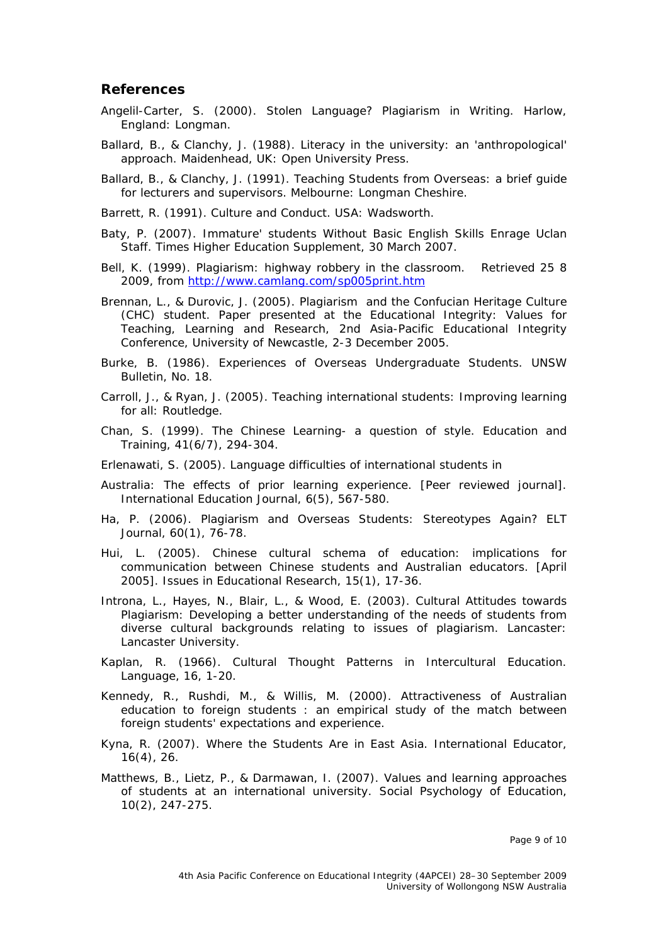#### **References**

- Angelil-Carter, S. (2000). *Stolen Language? Plagiarism in Writing*. Harlow, England: Longman.
- Ballard, B., & Clanchy, J. (1988). *Literacy in the university: an 'anthropological' approach*. Maidenhead, UK: Open University Press.

Ballard, B., & Clanchy, J. (1991). *Teaching Students from Overseas: a brief guide for lecturers and supervisors*. Melbourne: Longman Cheshire.

Barrett, R. (1991). *Culture and Conduct*. USA: Wadsworth.

- Baty, P. (2007). Immature' students Without Basic English Skills Enrage Uclan Staff. *Times Higher Education Supplement, 30 March 2007*.
- Bell, K. (1999). Plagiarism: highway robbery in the classroom. Retrieved 25 8 2009, from <http://www.camlang.com/sp005print.htm>
- Brennan, L., & Durovic, J. (2005). *Plagiarism and the Confucian Heritage Culture (CHC) student*. Paper presented at the Educational Integrity: Values for Teaching, Learning and Research, 2nd Asia-Pacific Educational Integrity Conference, University of Newcastle, 2-3 December 2005.
- Burke, B. (1986). Experiences of Overseas Undergraduate Students. *UNSW Bulletin, No. 18*.
- Carroll, J., & Ryan, J. (2005). *Teaching international students: Improving learning for all*: Routledge.
- Chan, S. (1999). The Chinese Learning- a question of style. *Education and Training, 41*(6/7), 294-304.
- Erlenawati, S. (2005). Language difficulties of international students in
- Australia: The effects of prior learning experience. [Peer reviewed journal]. *International Education Journal, 6*(5), 567-580.
- Ha, P. (2006). Plagiarism and Overseas Students: Stereotypes Again? *ELT Journal, 60*(1), 76-78.
- Hui, L. (2005). Chinese cultural schema of education: implications for communication between Chinese students and Australian educators. [April 2005]. *Issues in Educational Research, 15*(1), 17-36.
- Introna, L., Hayes, N., Blair, L., & Wood, E. (2003). *Cultural Attitudes towards Plagiarism: Developing a better understanding of the needs of students from diverse cultural backgrounds relating to issues of plagiarism*. Lancaster: Lancaster University.
- Kaplan, R. (1966). Cultural Thought Patterns in Intercultural Education. *Language, 16*, 1-20.
- Kennedy, R., Rushdi, M., & Willis, M. (2000). Attractiveness of Australian education to foreign students : an empirical study of the match between foreign students' expectations and experience.
- Kyna, R. (2007). Where the Students Are in East Asia. *International Educator, 16*(4), 26.
- Matthews, B., Lietz, P., & Darmawan, I. (2007). Values and learning approaches of students at an international university. *Social Psychology of Education, 10*(2), 247-275.